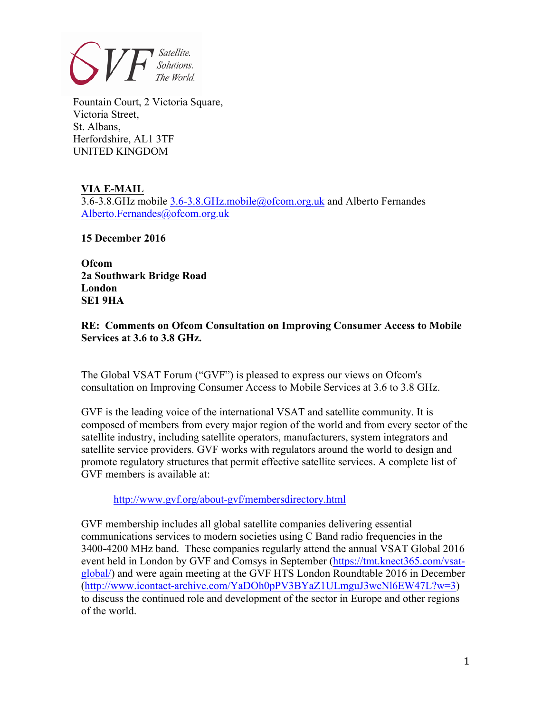

Fountain Court, 2 Victoria Square, Victoria Street, St. Albans, Herfordshire, AL1 3TF UNITED KINGDOM

## **VIA E-MAIL**

3.6-3.8.GHz mobile 3.6-3.8.GHz.mobile@ofcom.org.uk and Alberto Fernandes Alberto.Fernandes@ofcom.org.uk

**15 December 2016**

**Ofcom 2a Southwark Bridge Road London SE1 9HA**

## **RE: Comments on Ofcom Consultation on Improving Consumer Access to Mobile Services at 3.6 to 3.8 GHz.**

The Global VSAT Forum ("GVF") is pleased to express our views on Ofcom's consultation on Improving Consumer Access to Mobile Services at 3.6 to 3.8 GHz.

GVF is the leading voice of the international VSAT and satellite community. It is composed of members from every major region of the world and from every sector of the satellite industry, including satellite operators, manufacturers, system integrators and satellite service providers. GVF works with regulators around the world to design and promote regulatory structures that permit effective satellite services. A complete list of GVF members is available at:

http://www.gvf.org/about-gvf/membersdirectory.html

GVF membership includes all global satellite companies delivering essential communications services to modern societies using C Band radio frequencies in the 3400-4200 MHz band. These companies regularly attend the annual VSAT Global 2016 event held in London by GVF and Comsys in September (https://tmt.knect365.com/vsatglobal/) and were again meeting at the GVF HTS London Roundtable 2016 in December (http://www.icontact-archive.com/YaDOh0pPV3BYaZ1ULmguJ3wcNl6EW47L?w=3) to discuss the continued role and development of the sector in Europe and other regions of the world.